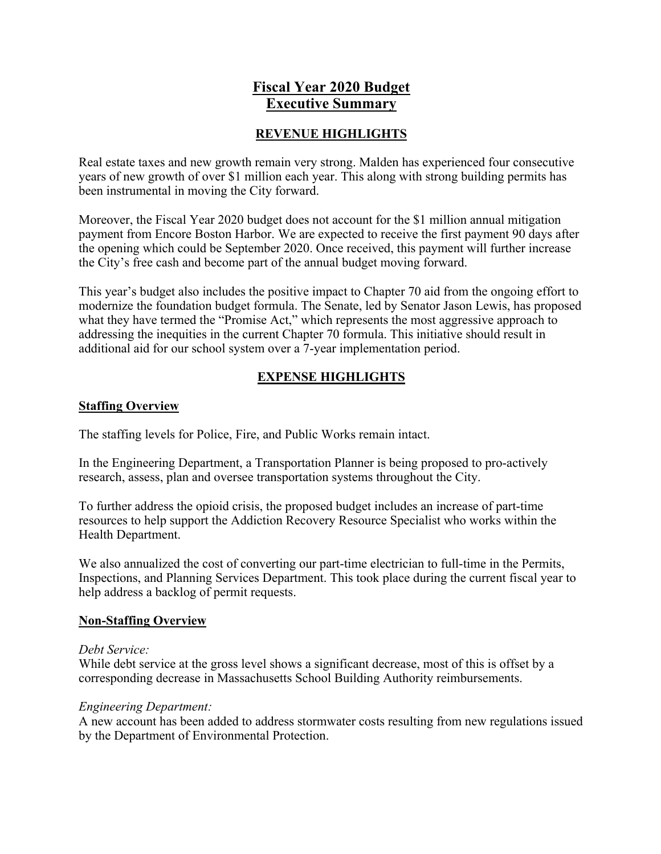## **Fiscal Year 2020 Budget Executive Summary**

### **REVENUE HIGHLIGHTS**

Real estate taxes and new growth remain very strong. Malden has experienced four consecutive years of new growth of over \$1 million each year. This along with strong building permits has been instrumental in moving the City forward.

Moreover, the Fiscal Year 2020 budget does not account for the \$1 million annual mitigation payment from Encore Boston Harbor. We are expected to receive the first payment 90 days after the opening which could be September 2020. Once received, this payment will further increase the City's free cash and become part of the annual budget moving forward.

This year's budget also includes the positive impact to Chapter 70 aid from the ongoing effort to modernize the foundation budget formula. The Senate, led by Senator Jason Lewis, has proposed what they have termed the "Promise Act," which represents the most aggressive approach to addressing the inequities in the current Chapter 70 formula. This initiative should result in additional aid for our school system over a 7-year implementation period.

## **EXPENSE HIGHLIGHTS**

#### **Staffing Overview**

The staffing levels for Police, Fire, and Public Works remain intact.

In the Engineering Department, a Transportation Planner is being proposed to pro-actively research, assess, plan and oversee transportation systems throughout the City.

To further address the opioid crisis, the proposed budget includes an increase of part-time resources to help support the Addiction Recovery Resource Specialist who works within the Health Department.

We also annualized the cost of converting our part-time electrician to full-time in the Permits, Inspections, and Planning Services Department. This took place during the current fiscal year to help address a backlog of permit requests.

#### **Non-Staffing Overview**

#### *Debt Service:*

While debt service at the gross level shows a significant decrease, most of this is offset by a corresponding decrease in Massachusetts School Building Authority reimbursements.

#### *Engineering Department:*

A new account has been added to address stormwater costs resulting from new regulations issued by the Department of Environmental Protection.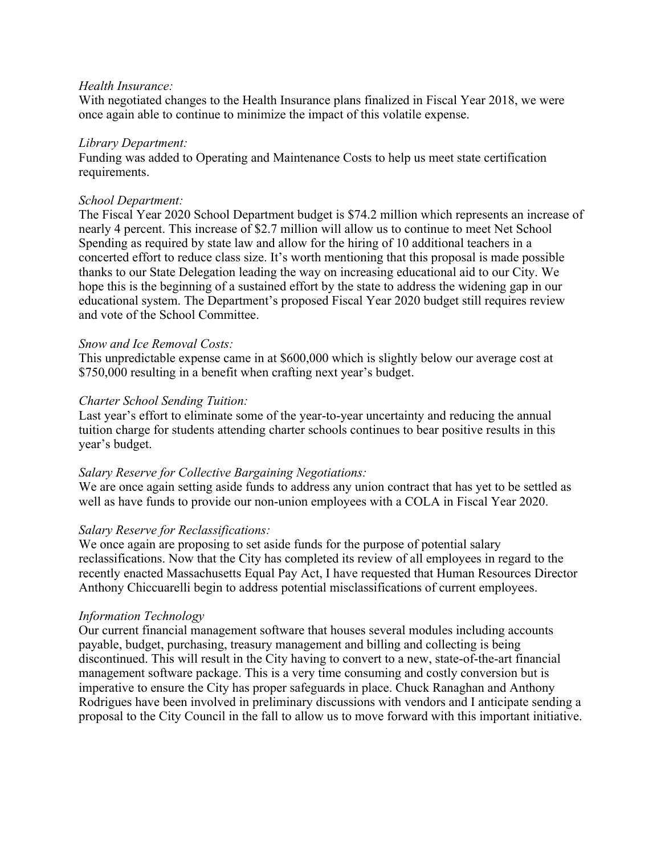#### *Health Insurance:*

With negotiated changes to the Health Insurance plans finalized in Fiscal Year 2018, we were once again able to continue to minimize the impact of this volatile expense.

#### *Library Department:*

Funding was added to Operating and Maintenance Costs to help us meet state certification requirements.

#### *School Department:*

The Fiscal Year 2020 School Department budget is \$74.2 million which represents an increase of nearly 4 percent. This increase of \$2.7 million will allow us to continue to meet Net School Spending as required by state law and allow for the hiring of 10 additional teachers in a concerted effort to reduce class size. It's worth mentioning that this proposal is made possible thanks to our State Delegation leading the way on increasing educational aid to our City. We hope this is the beginning of a sustained effort by the state to address the widening gap in our educational system. The Department's proposed Fiscal Year 2020 budget still requires review and vote of the School Committee.

#### *Snow and Ice Removal Costs:*

This unpredictable expense came in at \$600,000 which is slightly below our average cost at \$750,000 resulting in a benefit when crafting next year's budget.

#### *Charter School Sending Tuition:*

Last year's effort to eliminate some of the year-to-year uncertainty and reducing the annual tuition charge for students attending charter schools continues to bear positive results in this year's budget.

#### *Salary Reserve for Collective Bargaining Negotiations:*

We are once again setting aside funds to address any union contract that has yet to be settled as well as have funds to provide our non-union employees with a COLA in Fiscal Year 2020.

#### *Salary Reserve for Reclassifications:*

We once again are proposing to set aside funds for the purpose of potential salary reclassifications. Now that the City has completed its review of all employees in regard to the recently enacted Massachusetts Equal Pay Act, I have requested that Human Resources Director Anthony Chiccuarelli begin to address potential misclassifications of current employees.

#### *Information Technology*

Our current financial management software that houses several modules including accounts payable, budget, purchasing, treasury management and billing and collecting is being discontinued. This will result in the City having to convert to a new, state-of-the-art financial management software package. This is a very time consuming and costly conversion but is imperative to ensure the City has proper safeguards in place. Chuck Ranaghan and Anthony Rodrigues have been involved in preliminary discussions with vendors and I anticipate sending a proposal to the City Council in the fall to allow us to move forward with this important initiative.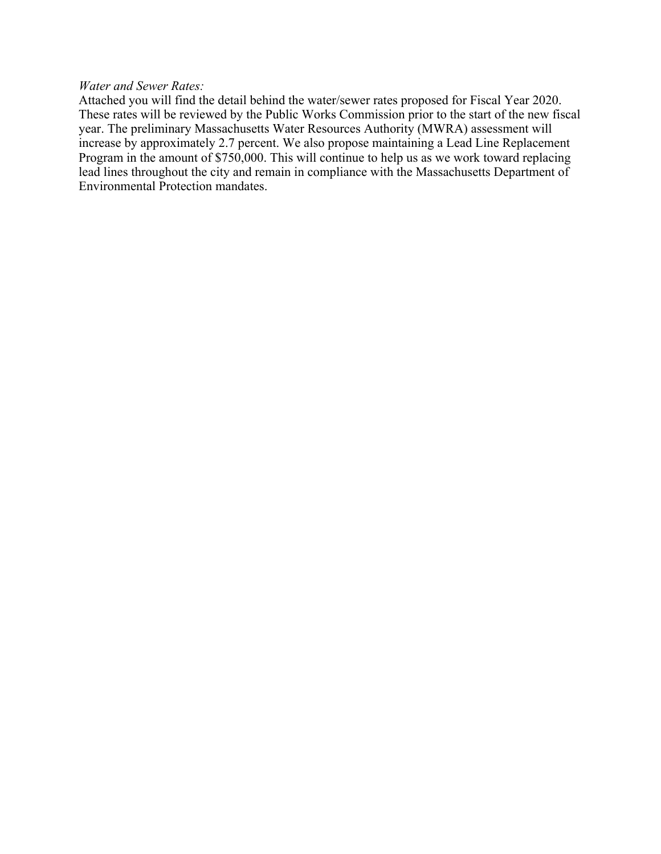#### *Water and Sewer Rates:*

Attached you will find the detail behind the water/sewer rates proposed for Fiscal Year 2020. These rates will be reviewed by the Public Works Commission prior to the start of the new fiscal year. The preliminary Massachusetts Water Resources Authority (MWRA) assessment will increase by approximately 2.7 percent. We also propose maintaining a Lead Line Replacement Program in the amount of \$750,000. This will continue to help us as we work toward replacing lead lines throughout the city and remain in compliance with the Massachusetts Department of Environmental Protection mandates.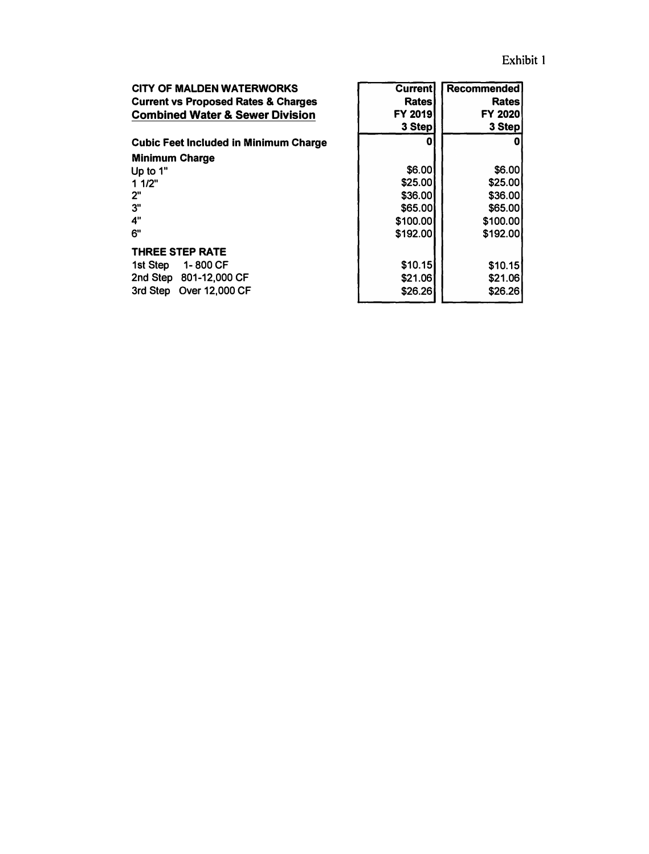| <b>CITY OF MALDEN WATERWORKS</b>               | <b>Current</b> | <b>Recommended</b> |  |
|------------------------------------------------|----------------|--------------------|--|
| <b>Current vs Proposed Rates &amp; Charges</b> | Rates          | Rates              |  |
| <b>Combined Water &amp; Sewer Division</b>     | <b>FY 2019</b> | <b>FY 2020</b>     |  |
|                                                | 3 Step         | 3 Step             |  |
| <b>Cubic Feet Included in Minimum Charge</b>   | Ω              | 0                  |  |
| <b>Minimum Charge</b>                          |                |                    |  |
| Up to 1"                                       | \$6.00         | \$6.00             |  |
| 11/2"                                          | \$25.00        | \$25.00            |  |
| 2"                                             | \$36.00        | \$36.00            |  |
| 3"                                             | \$65.00        | \$65.00            |  |
| 4"                                             | \$100.00       | \$100.00           |  |
| 6"                                             | \$192.00       | \$192.00           |  |
| <b>THREE STEP RATE</b>                         |                |                    |  |
| 1-800 CF<br>1st Step                           | \$10.15        | \$10.15            |  |
| 2nd Step 801-12,000 CF                         | \$21.06        | \$21.06            |  |
| 3rd Step Over 12,000 CF                        | \$26.26        | \$26.26            |  |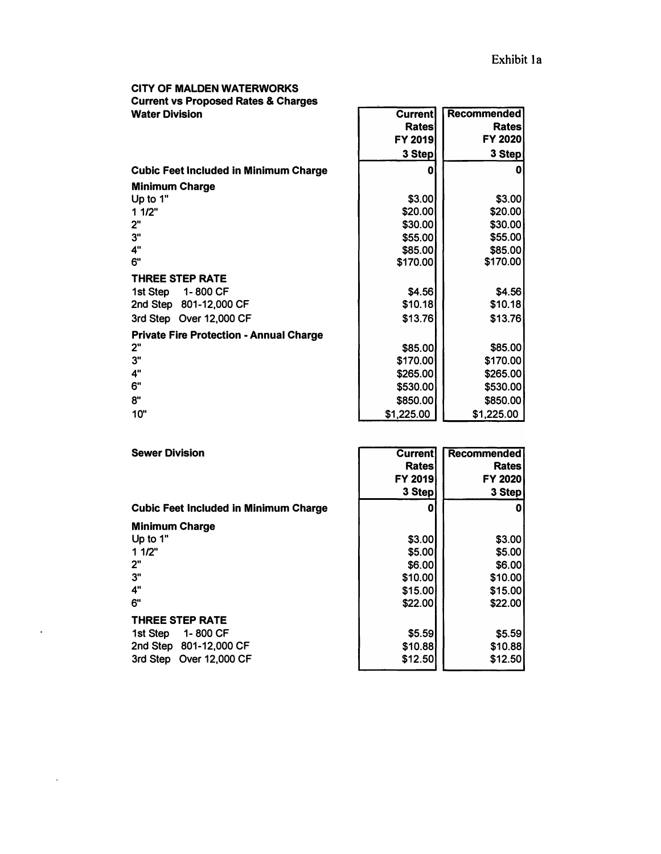# **CITY OF MALDEN WATERWORKS Current vs Proposed Rates & Charges**

 $\ddot{\phantom{a}}$ 

| <b>UTHER AS FROPOSED NATES &amp; URINGS</b>    |                |                    |  |
|------------------------------------------------|----------------|--------------------|--|
| <b>Water Division</b>                          | <b>Current</b> | <b>Recommended</b> |  |
|                                                | <b>Rates</b>   | <b>Rates</b>       |  |
|                                                | FY 2019        | <b>FY 2020</b>     |  |
|                                                | 3 Step         | 3 Step             |  |
| <b>Cubic Feet Included in Minimum Charge</b>   | 0              |                    |  |
| <b>Minimum Charge</b>                          |                |                    |  |
| Up to 1"                                       | \$3.00         | \$3.00             |  |
| 11/2"                                          | \$20.00        | \$20.00            |  |
| 2"                                             | \$30.00        | \$30.00            |  |
| 3"                                             | \$55.00        | \$55.00            |  |
| 4"                                             | \$85.00        | \$85.00            |  |
| 6"                                             | \$170.00       | \$170.00           |  |
| <b>THREE STEP RATE</b>                         |                |                    |  |
| 1st Step 1-800 CF                              | \$4.56         | \$4.56             |  |
| 2nd Step 801-12,000 CF                         | \$10.18        | \$10.18            |  |
| 3rd Step Over 12,000 CF                        | \$13.76        | \$13.76            |  |
| <b>Private Fire Protection - Annual Charge</b> |                |                    |  |
| 2"                                             | \$85.00        | \$85.00            |  |
| 3"                                             | \$170.00       | \$170.00           |  |
| 4"                                             | \$265.00       | \$265.00           |  |
| 6"                                             | \$530.00       | \$530.00           |  |
| 8"                                             | \$850.00       | \$850.00           |  |
| 10"                                            | \$1,225.00     | \$1,225.00         |  |

| <b>Sewer Division</b>                        | <b>Current</b> | <b>Recommended</b> |  |
|----------------------------------------------|----------------|--------------------|--|
|                                              | Rates          | Rates              |  |
|                                              | <b>FY 2019</b> | <b>FY 2020</b>     |  |
|                                              | 3 Step         | 3 Step             |  |
| <b>Cubic Feet Included in Minimum Charge</b> | 0              |                    |  |
| <b>Minimum Charge</b>                        |                |                    |  |
| Up to 1"                                     | \$3.00         | \$3.00             |  |
| 11/2"                                        | \$5.00         | \$5.00             |  |
| 2"                                           | \$6.00         | \$6.00             |  |
| 3"                                           | \$10.00        | \$10.00            |  |
| 4"                                           | \$15.00        | \$15.00            |  |
| 6"                                           | \$22.00        | \$22.00            |  |
| <b>THREE STEP RATE</b>                       |                |                    |  |
| 1-800 CF<br>1st Step                         | \$5.59         | \$5.59             |  |
| 2nd Step 801-12,000 CF                       | \$10.88        | \$10.88            |  |
| 3rd Step Over 12,000 CF                      | \$12.50        | \$12.50            |  |